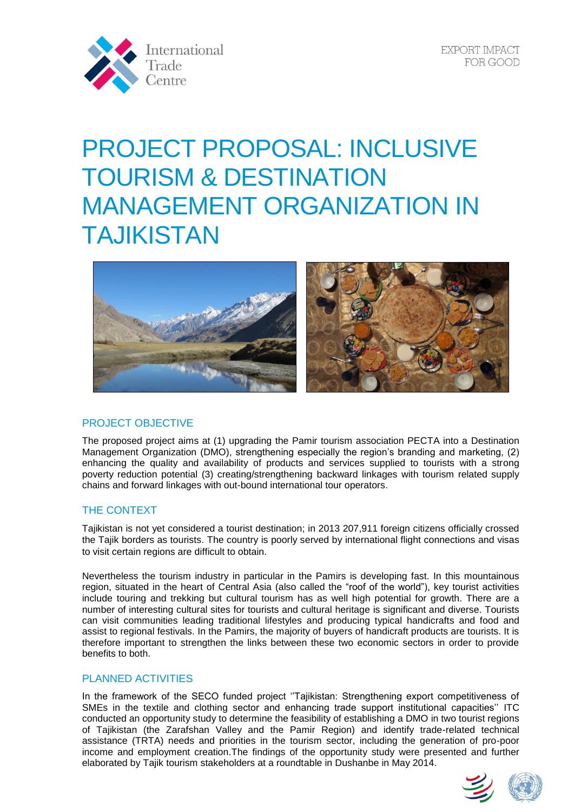

# PROJECT PROPOSAL: INCLUSIVE TOURISM & DESTINATION MANAGEMENT ORGANIZATION IN TAJIKISTAN



## PROJECT OBJECTIVE

The proposed project aims at (1) upgrading the Pamir tourism association PECTA into a Destination Management Organization (DMO), strengthening especially the region's branding and marketing, (2) enhancing the quality and availability of products and services supplied to tourists with a strong poverty reduction potential (3) creating/strengthening backward linkages with tourism related supply chains and forward linkages with out-bound international tour operators.

## THE CONTEXT

Tajikistan is not yet considered a tourist destination; in 2013 207,911 foreign citizens officially crossed the Tajik borders as tourists. The country is poorly served by international flight connections and visas to visit certain regions are difficult to obtain.

Nevertheless the tourism industry in particular in the Pamirs is developing fast. In this mountainous region, situated in the heart of Central Asia (also called the "roof of the world"), key tourist activities include touring and trekking but cultural tourism has as well high potential for growth. There are a number of interesting cultural sites for tourists and cultural heritage is significant and diverse. Tourists can visit communities leading traditional lifestyles and producing typical handicrafts and food and assist to regional festivals. In the Pamirs, the majority of buyers of handicraft products are tourists. It is therefore important to strengthen the links between these two economic sectors in order to provide benefits to both.

## PLANNED ACTIVITIES

In the framework of the SECO funded project ''Tajikistan: Strengthening export competitiveness of SMEs in the textile and clothing sector and enhancing trade support institutional capacities'' ITC conducted an opportunity study to determine the feasibility of establishing a DMO in two tourist regions of Tajikistan (the Zarafshan Valley and the Pamir Region) and identify trade-related technical assistance (TRTA) needs and priorities in the tourism sector, including the generation of pro-poor income and employment creation.The findings of the opportunity study were presented and further elaborated by Tajik tourism stakeholders at a roundtable in Dushanbe in May 2014.